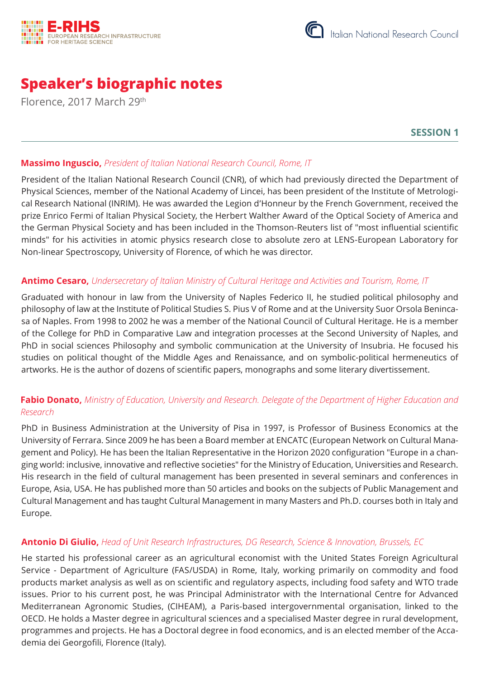



# **Speaker's biographic notes**

Florence, 2017 March 29th

**SESSION 1**

## **Massimo Inguscio,** *President of Italian National Research Council, Rome, IT*

President of the Italian National Research Council (CNR), of which had previously directed the Department of Physical Sciences, member of the National Academy of Lincei, has been president of the Institute of Metrological Research National (INRIM). He was awarded the Legion d'Honneur by the French Government, received the prize Enrico Fermi of Italian Physical Society, the Herbert Walther Award of the Optical Society of America and the German Physical Society and has been included in the Thomson-Reuters list of "most influential scientific minds" for his activities in atomic physics research close to absolute zero at LENS-European Laboratory for Non-linear Spectroscopy, University of Florence, of which he was director.

## **Antimo Cesaro,** *Undersecretary of Italian Ministry of Cultural Heritage and Activities and Tourism, Rome, IT*

Graduated with honour in law from the University of Naples Federico II, he studied political philosophy and philosophy of law at the Institute of Political Studies S. Pius V of Rome and at the University Suor Orsola Benincasa of Naples. From 1998 to 2002 he was a member of the National Council of Cultural Heritage. He is a member of the College for PhD in Comparative Law and integration processes at the Second University of Naples, and PhD in social sciences Philosophy and symbolic communication at the University of Insubria. He focused his studies on political thought of the Middle Ages and Renaissance, and on symbolic-political hermeneutics of artworks. He is the author of dozens of scientific papers, monographs and some literary divertissement.

# **Fabio Donato,** *Ministry of Education, University and Research. Delegate of the Department of Higher Education and Research*

PhD in Business Administration at the University of Pisa in 1997, is Professor of Business Economics at the University of Ferrara. Since 2009 he has been a Board member at ENCATC (European Network on Cultural Management and Policy). He has been the Italian Representative in the Horizon 2020 configuration "Europe in a changing world: inclusive, innovative and reflective societies" for the Ministry of Education, Universities and Research. His research in the field of cultural management has been presented in several seminars and conferences in Europe, Asia, USA. He has published more than 50 articles and books on the subjects of Public Management and Cultural Management and has taught Cultural Management in many Masters and Ph.D. courses both in Italy and Europe.

## **Antonio Di Giulio,** *Head of Unit Research Infrastructures, DG Research, Science & Innovation, Brussels, EC*

He started his professional career as an agricultural economist with the United States Foreign Agricultural Service - Department of Agriculture (FAS/USDA) in Rome, Italy, working primarily on commodity and food products market analysis as well as on scientific and regulatory aspects, including food safety and WTO trade issues. Prior to his current post, he was Principal Administrator with the International Centre for Advanced Mediterranean Agronomic Studies, (CIHEAM), a Paris-based intergovernmental organisation, linked to the OECD. He holds a Master degree in agricultural sciences and a specialised Master degree in rural development, programmes and projects. He has a Doctoral degree in food economics, and is an elected member of the Accademia dei Georgofili, Florence (Italy).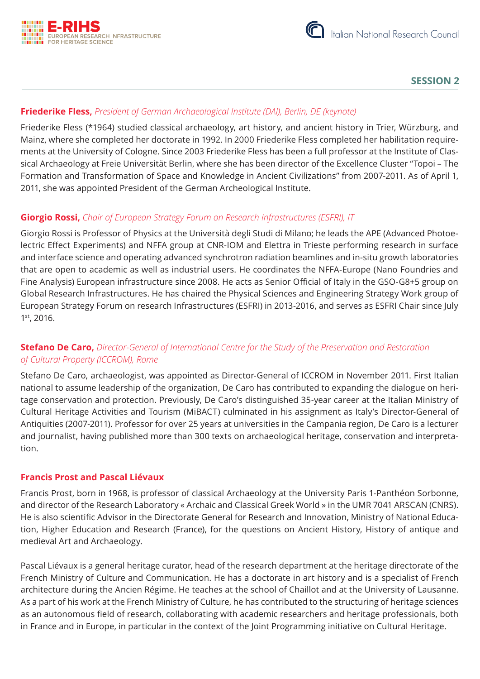



## **SESSION 2**

## **Friederike Fless,** *President of German Archaeological Institute (DAI), Berlin, DE (keynote)*

Friederike Fless (\*1964) studied classical archaeology, art history, and ancient history in Trier, Würzburg, and Mainz, where she completed her doctorate in 1992. In 2000 Friederike Fless completed her habilitation requirements at the University of Cologne. Since 2003 Friederike Fless has been a full professor at the Institute of Classical Archaeology at Freie Universität Berlin, where she has been director of the Excellence Cluster "Topoi – The Formation and Transformation of Space and Knowledge in Ancient Civilizations" from 2007-2011. As of April 1, 2011, she was appointed President of the German Archeological Institute.

## **Giorgio Rossi,** *Chair of European Strategy Forum on Research Infrastructures (ESFRI), IT*

Giorgio Rossi is Professor of Physics at the Università degli Studi di Milano; he leads the APE (Advanced Photoelectric Effect Experiments) and NFFA group at CNR-IOM and Elettra in Trieste performing research in surface and interface science and operating advanced synchrotron radiation beamlines and in-situ growth laboratories that are open to academic as well as industrial users. He coordinates the NFFA-Europe (Nano Foundries and Fine Analysis) European infrastructure since 2008. He acts as Senior Official of Italy in the GSO-G8+5 group on Global Research Infrastructures. He has chaired the Physical Sciences and Engineering Strategy Work group of European Strategy Forum on research Infrastructures (ESFRI) in 2013-2016, and serves as ESFRI Chair since July 1st, 2016.

# **Stefano De Caro,** *Director-General of International Centre for the Study of the Preservation and Restoration of Cultural Property (ICCROM), Rome*

Stefano De Caro, archaeologist, was appointed as Director-General of ICCROM in November 2011. First Italian national to assume leadership of the organization, De Caro has contributed to expanding the dialogue on heritage conservation and protection. Previously, De Caro's distinguished 35-year career at the Italian Ministry of Cultural Heritage Activities and Tourism (MiBACT) culminated in his assignment as Italy's Director-General of Antiquities (2007-2011). Professor for over 25 years at universities in the Campania region, De Caro is a lecturer and journalist, having published more than 300 texts on archaeological heritage, conservation and interpretation.

#### **Francis Prost and Pascal Liévaux**

Francis Prost, born in 1968, is professor of classical Archaeology at the University Paris 1-Panthéon Sorbonne, and director of the Research Laboratory « Archaic and Classical Greek World » in the UMR 7041 ARSCAN (CNRS). He is also scientific Advisor in the Directorate General for Research and Innovation, Ministry of National Education, Higher Education and Research (France), for the questions on Ancient History, History of antique and medieval Art and Archaeology.

Pascal Liévaux is a general heritage curator, head of the research department at the heritage directorate of the French Ministry of Culture and Communication. He has a doctorate in art history and is a specialist of French architecture during the Ancien Régime. He teaches at the school of Chaillot and at the University of Lausanne. As a part of his work at the French Ministry of Culture, he has contributed to the structuring of heritage sciences as an autonomous field of research, collaborating with academic researchers and heritage professionals, both in France and in Europe, in particular in the context of the Joint Programming initiative on Cultural Heritage.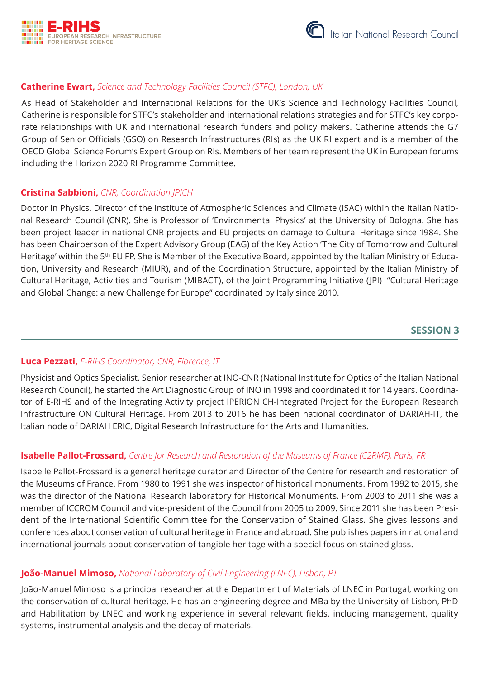



## **Catherine Ewart,** *Science and Technology Facilities Council (STFC), London, UK*

As Head of Stakeholder and International Relations for the UK's Science and Technology Facilities Council, Catherine is responsible for STFC's stakeholder and international relations strategies and for STFC's key corporate relationships with UK and international research funders and policy makers. Catherine attends the G7 Group of Senior Officials (GSO) on Research Infrastructures (RIs) as the UK RI expert and is a member of the OECD Global Science Forum's Expert Group on RIs. Members of her team represent the UK in European forums including the Horizon 2020 RI Programme Committee.

#### **Cristina Sabbioni,** *CNR, Coordination JPICH*

Doctor in Physics. Director of the Institute of Atmospheric Sciences and Climate (ISAC) within the Italian National Research Council (CNR). She is Professor of 'Environmental Physics' at the University of Bologna. She has been project leader in national CNR projects and EU projects on damage to Cultural Heritage since 1984. She has been Chairperson of the Expert Advisory Group (EAG) of the Key Action 'The City of Tomorrow and Cultural Heritage' within the 5<sup>th</sup> EU FP. She is Member of the Executive Board, appointed by the Italian Ministry of Education, University and Research (MIUR), and of the Coordination Structure, appointed by the Italian Ministry of Cultural Heritage, Activities and Tourism (MIBACT), of the Joint Programming Initiative (JPI) "Cultural Heritage and Global Change: a new Challenge for Europe" coordinated by Italy since 2010.

## **SESSION 3**

#### **Luca Pezzati,** *E-RIHS Coordinator, CNR, Florence, IT*

Physicist and Optics Specialist. Senior researcher at INO-CNR (National Institute for Optics of the Italian National Research Council), he started the Art Diagnostic Group of INO in 1998 and coordinated it for 14 years. Coordinator of E-RIHS and of the Integrating Activity project IPERION CH-Integrated Project for the European Research Infrastructure ON Cultural Heritage. From 2013 to 2016 he has been national coordinator of DARIAH-IT, the Italian node of DARIAH ERIC, Digital Research Infrastructure for the Arts and Humanities.

#### **Isabelle Pallot-Frossard,** *Centre for Research and Restoration of the Museums of France (C2RMF), Paris, FR*

Isabelle Pallot-Frossard is a general heritage curator and Director of the Centre for research and restoration of the Museums of France. From 1980 to 1991 she was inspector of historical monuments. From 1992 to 2015, she was the director of the National Research laboratory for Historical Monuments. From 2003 to 2011 she was a member of ICCROM Council and vice-president of the Council from 2005 to 2009. Since 2011 she has been President of the International Scientific Committee for the Conservation of Stained Glass. She gives lessons and conferences about conservation of cultural heritage in France and abroad. She publishes papers in national and international journals about conservation of tangible heritage with a special focus on stained glass.

## **João-Manuel Mimoso,** *National Laboratory of Civil Engineering (LNEC), Lisbon, PT*

João-Manuel Mimoso is a principal researcher at the Department of Materials of LNEC in Portugal, working on the conservation of cultural heritage. He has an engineering degree and MBa by the University of Lisbon, PhD and Habilitation by LNEC and working experience in several relevant fields, including management, quality systems, instrumental analysis and the decay of materials.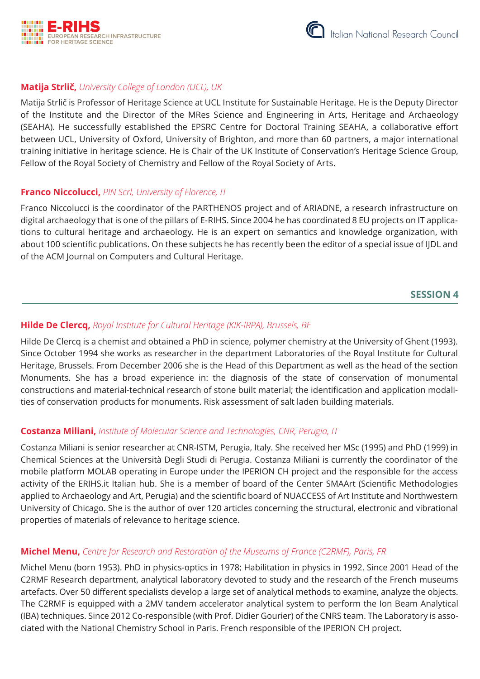



## **Matija Strlič,** *University College of London (UCL), UK*

Matija Strlič is Professor of Heritage Science at UCL Institute for Sustainable Heritage. He is the Deputy Director of the Institute and the Director of the MRes Science and Engineering in Arts, Heritage and Archaeology (SEAHA). He successfully established the EPSRC Centre for Doctoral Training SEAHA, a collaborative effort between UCL, University of Oxford, University of Brighton, and more than 60 partners, a major international training initiative in heritage science. He is Chair of the UK Institute of Conservation's Heritage Science Group, Fellow of the Royal Society of Chemistry and Fellow of the Royal Society of Arts.

#### **Franco Niccolucci,** *PIN Scrl, University of Florence, IT*

Franco Niccolucci is the coordinator of the PARTHENOS project and of ARIADNE, a research infrastructure on digital archaeology that is one of the pillars of E-RIHS. Since 2004 he has coordinated 8 EU projects on IT applications to cultural heritage and archaeology. He is an expert on semantics and knowledge organization, with about 100 scientific publications. On these subjects he has recently been the editor of a special issue of IJDL and of the ACM Journal on Computers and Cultural Heritage.

#### **SESSION 4**

#### **Hilde De Clercq,** *Royal Institute for Cultural Heritage (KIK-IRPA), Brussels, BE*

Hilde De Clercq is a chemist and obtained a PhD in science, polymer chemistry at the University of Ghent (1993). Since October 1994 she works as researcher in the department Laboratories of the Royal Institute for Cultural Heritage, Brussels. From December 2006 she is the Head of this Department as well as the head of the section Monuments. She has a broad experience in: the diagnosis of the state of conservation of monumental constructions and material-technical research of stone built material; the identification and application modalities of conservation products for monuments. Risk assessment of salt laden building materials.

## **Costanza Miliani,** *Institute of Molecular Science and Technologies, CNR, Perugia, IT*

Costanza Miliani is senior researcher at CNR‐ISTM, Perugia, Italy. She received her MSc (1995) and PhD (1999) in Chemical Sciences at the Università Degli Studi di Perugia. Costanza Miliani is currently the coordinator of the mobile platform MOLAB operating in Europe under the IPERION CH project and the responsible for the access activity of the ERIHS.it Italian hub. She is a member of board of the Center SMAArt (Scientific Methodologies applied to Archaeology and Art, Perugia) and the scientific board of NUACCESS of Art Institute and Northwestern University of Chicago. She is the author of over 120 articles concerning the structural, electronic and vibrational properties of materials of relevance to heritage science.

#### **Michel Menu,** *Centre for Research and Restoration of the Museums of France (C2RMF), Paris, FR*

Michel Menu (born 1953). PhD in physics-optics in 1978; Habilitation in physics in 1992. Since 2001 Head of the C2RMF Research department, analytical laboratory devoted to study and the research of the French museums artefacts. Over 50 different specialists develop a large set of analytical methods to examine, analyze the objects. The C2RMF is equipped with a 2MV tandem accelerator analytical system to perform the Ion Beam Analytical (IBA) techniques. Since 2012 Co-responsible (with Prof. Didier Gourier) of the CNRS team. The Laboratory is associated with the National Chemistry School in Paris. French responsible of the IPERION CH project.